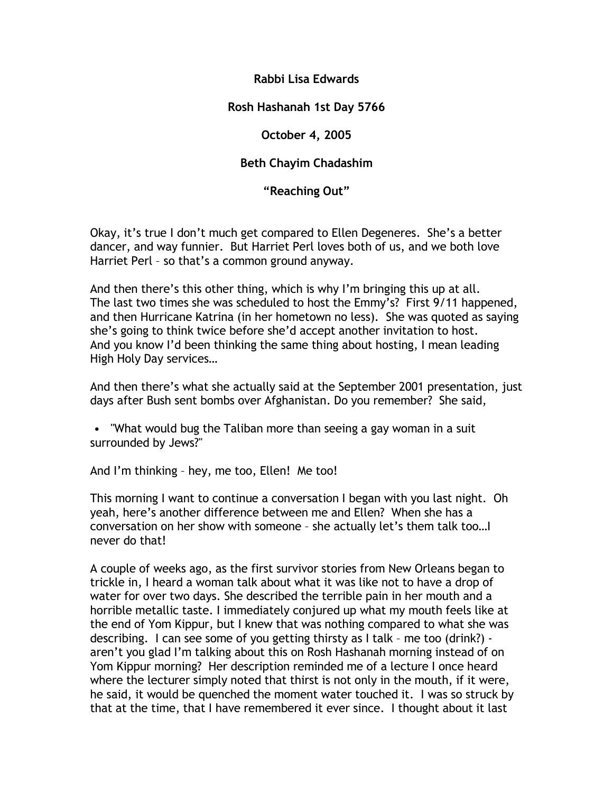# **Rabbi Lisa Edwards**

# **Rosh Hashanah 1st Day 5766**

## **October 4, 2005**

# **Beth Chayim Chadashim**

## **"Reaching Out"**

Okay, it's true I don't much get compared to Ellen Degeneres. She's a better dancer, and way funnier. But Harriet Perl loves both of us, and we both love Harriet Perl – so that's a common ground anyway.

And then there's this other thing, which is why I'm bringing this up at all. The last two times she was scheduled to host the Emmy's? First 9/11 happened, and then Hurricane Katrina (in her hometown no less). She was quoted as saying she's going to think twice before she'd accept another invitation to host. And you know I'd been thinking the same thing about hosting, I mean leading High Holy Day services…

And then there's what she actually said at the September 2001 presentation, just days after Bush sent bombs over Afghanistan. Do you remember? She said,

• "What would bug the Taliban more than seeing a gay woman in a suit surrounded by Jews?"

And I'm thinking – hey, me too, Ellen! Me too!

This morning I want to continue a conversation I began with you last night. Oh yeah, here's another difference between me and Ellen? When she has a conversation on her show with someone – she actually let's them talk too…I never do that!

A couple of weeks ago, as the first survivor stories from New Orleans began to trickle in, I heard a woman talk about what it was like not to have a drop of water for over two days. She described the terrible pain in her mouth and a horrible metallic taste. I immediately conjured up what my mouth feels like at the end of Yom Kippur, but I knew that was nothing compared to what she was describing. I can see some of you getting thirsty as I talk – me too (drink?) aren't you glad I'm talking about this on Rosh Hashanah morning instead of on Yom Kippur morning? Her description reminded me of a lecture I once heard where the lecturer simply noted that thirst is not only in the mouth, if it were, he said, it would be quenched the moment water touched it. I was so struck by that at the time, that I have remembered it ever since. I thought about it last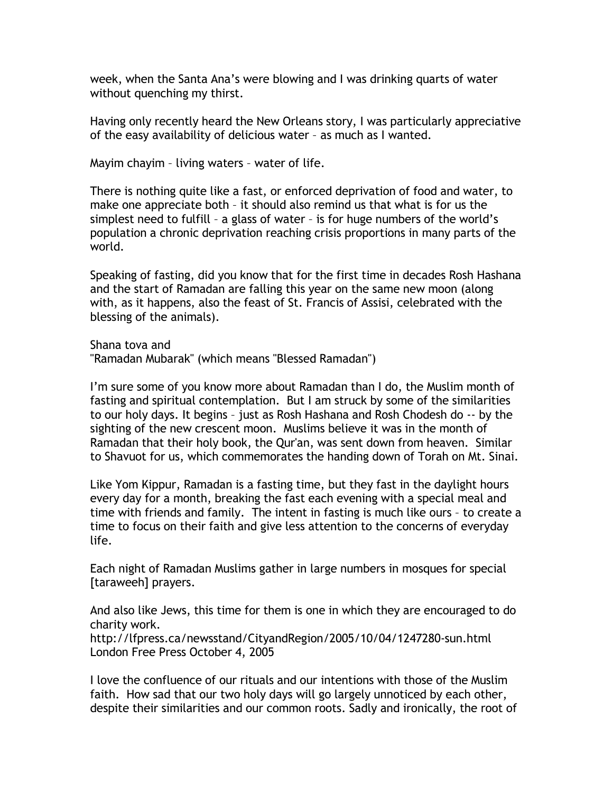week, when the Santa Ana's were blowing and I was drinking quarts of water without quenching my thirst.

Having only recently heard the New Orleans story, I was particularly appreciative of the easy availability of delicious water – as much as I wanted.

Mayim chayim – living waters – water of life.

There is nothing quite like a fast, or enforced deprivation of food and water, to make one appreciate both – it should also remind us that what is for us the simplest need to fulfill – a glass of water – is for huge numbers of the world's population a chronic deprivation reaching crisis proportions in many parts of the world.

Speaking of fasting, did you know that for the first time in decades Rosh Hashana and the start of Ramadan are falling this year on the same new moon (along with, as it happens, also the feast of St. Francis of Assisi, celebrated with the blessing of the animals).

Shana tova and "Ramadan Mubarak" (which means "Blessed Ramadan")

I'm sure some of you know more about Ramadan than I do, the Muslim month of fasting and spiritual contemplation. But I am struck by some of the similarities to our holy days. It begins – just as Rosh Hashana and Rosh Chodesh do -- by the sighting of the new crescent moon. Muslims believe it was in the month of Ramadan that their holy book, the Qur'an, was sent down from heaven. Similar to Shavuot for us, which commemorates the handing down of Torah on Mt. Sinai.

Like Yom Kippur, Ramadan is a fasting time, but they fast in the daylight hours every day for a month, breaking the fast each evening with a special meal and time with friends and family. The intent in fasting is much like ours – to create a time to focus on their faith and give less attention to the concerns of everyday life.

Each night of Ramadan Muslims gather in large numbers in mosques for special [taraweeh] prayers.

And also like Jews, this time for them is one in which they are encouraged to do charity work.

http://lfpress.ca/newsstand/CityandRegion/2005/10/04/1247280-sun.html London Free Press October 4, 2005

I love the confluence of our rituals and our intentions with those of the Muslim faith. How sad that our two holy days will go largely unnoticed by each other, despite their similarities and our common roots. Sadly and ironically, the root of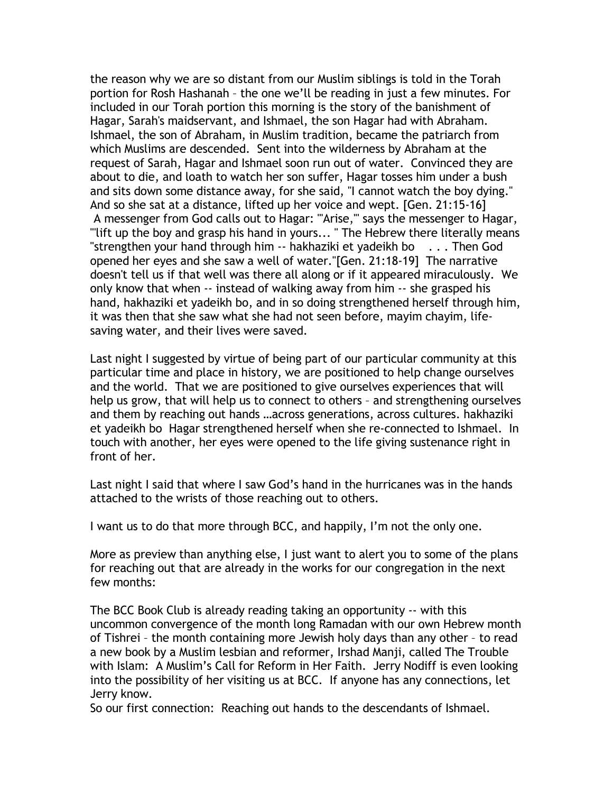the reason why we are so distant from our Muslim siblings is told in the Torah portion for Rosh Hashanah – the one we'll be reading in just a few minutes. For included in our Torah portion this morning is the story of the banishment of Hagar, Sarah's maidservant, and Ishmael, the son Hagar had with Abraham. Ishmael, the son of Abraham, in Muslim tradition, became the patriarch from which Muslims are descended. Sent into the wilderness by Abraham at the request of Sarah, Hagar and Ishmael soon run out of water. Convinced they are about to die, and loath to watch her son suffer, Hagar tosses him under a bush and sits down some distance away, for she said, "I cannot watch the boy dying." And so she sat at a distance, lifted up her voice and wept. [Gen. 21:15-16] A messenger from God calls out to Hagar: "'Arise,'" says the messenger to Hagar, "'lift up the boy and grasp his hand in yours... " The Hebrew there literally means "strengthen your hand through him -- hakhaziki et yadeikh bo . . . Then God opened her eyes and she saw a well of water."[Gen. 21:18-19] The narrative doesn't tell us if that well was there all along or if it appeared miraculously. We only know that when -- instead of walking away from him -- she grasped his hand, hakhaziki et yadeikh bo, and in so doing strengthened herself through him, it was then that she saw what she had not seen before, mayim chayim, lifesaving water, and their lives were saved.

Last night I suggested by virtue of being part of our particular community at this particular time and place in history, we are positioned to help change ourselves and the world. That we are positioned to give ourselves experiences that will help us grow, that will help us to connect to others – and strengthening ourselves and them by reaching out hands …across generations, across cultures. hakhaziki et yadeikh bo Hagar strengthened herself when she re-connected to Ishmael. In touch with another, her eyes were opened to the life giving sustenance right in front of her.

Last night I said that where I saw God's hand in the hurricanes was in the hands attached to the wrists of those reaching out to others.

I want us to do that more through BCC, and happily, I'm not the only one.

More as preview than anything else, I just want to alert you to some of the plans for reaching out that are already in the works for our congregation in the next few months:

The BCC Book Club is already reading taking an opportunity -- with this uncommon convergence of the month long Ramadan with our own Hebrew month of Tishrei – the month containing more Jewish holy days than any other – to read a new book by a Muslim lesbian and reformer, Irshad Manji, called The Trouble with Islam: A Muslim's Call for Reform in Her Faith. Jerry Nodiff is even looking into the possibility of her visiting us at BCC. If anyone has any connections, let Jerry know.

So our first connection: Reaching out hands to the descendants of Ishmael.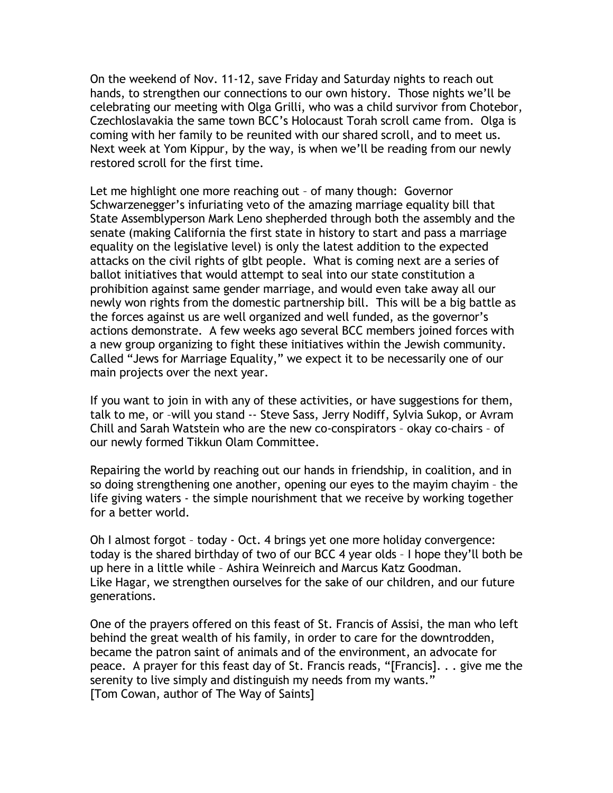On the weekend of Nov. 11-12, save Friday and Saturday nights to reach out hands, to strengthen our connections to our own history. Those nights we'll be celebrating our meeting with Olga Grilli, who was a child survivor from Chotebor, Czechloslavakia the same town BCC's Holocaust Torah scroll came from. Olga is coming with her family to be reunited with our shared scroll, and to meet us. Next week at Yom Kippur, by the way, is when we'll be reading from our newly restored scroll for the first time.

Let me highlight one more reaching out – of many though: Governor Schwarzenegger's infuriating veto of the amazing marriage equality bill that State Assemblyperson Mark Leno shepherded through both the assembly and the senate (making California the first state in history to start and pass a marriage equality on the legislative level) is only the latest addition to the expected attacks on the civil rights of glbt people. What is coming next are a series of ballot initiatives that would attempt to seal into our state constitution a prohibition against same gender marriage, and would even take away all our newly won rights from the domestic partnership bill. This will be a big battle as the forces against us are well organized and well funded, as the governor's actions demonstrate. A few weeks ago several BCC members joined forces with a new group organizing to fight these initiatives within the Jewish community. Called "Jews for Marriage Equality," we expect it to be necessarily one of our main projects over the next year.

If you want to join in with any of these activities, or have suggestions for them, talk to me, or –will you stand -- Steve Sass, Jerry Nodiff, Sylvia Sukop, or Avram Chill and Sarah Watstein who are the new co-conspirators – okay co-chairs – of our newly formed Tikkun Olam Committee.

Repairing the world by reaching out our hands in friendship, in coalition, and in so doing strengthening one another, opening our eyes to the mayim chayim – the life giving waters - the simple nourishment that we receive by working together for a better world.

Oh I almost forgot – today - Oct. 4 brings yet one more holiday convergence: today is the shared birthday of two of our BCC 4 year olds – I hope they'll both be up here in a little while – Ashira Weinreich and Marcus Katz Goodman. Like Hagar, we strengthen ourselves for the sake of our children, and our future generations.

One of the prayers offered on this feast of St. Francis of Assisi, the man who left behind the great wealth of his family, in order to care for the downtrodden, became the patron saint of animals and of the environment, an advocate for peace. A prayer for this feast day of St. Francis reads, "[Francis]. . . give me the serenity to live simply and distinguish my needs from my wants." [Tom Cowan, author of The Way of Saints]